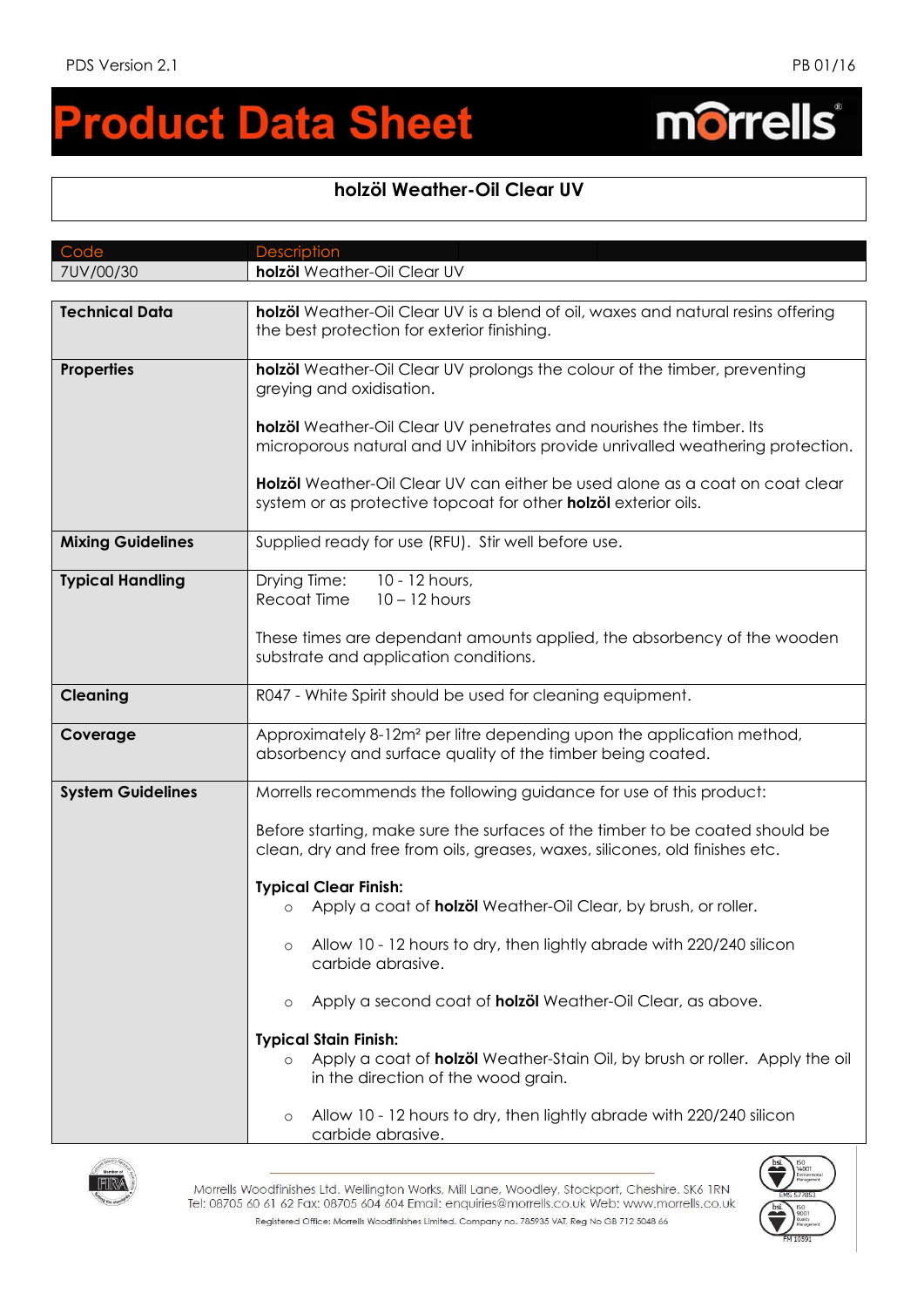## **roduct Data Sheet**  $\blacksquare$

## **holzöl Weather-Oil Clear UV**

| Code                     | <b>Description</b>                                                                                                                                                                                                                                                                                                                               |
|--------------------------|--------------------------------------------------------------------------------------------------------------------------------------------------------------------------------------------------------------------------------------------------------------------------------------------------------------------------------------------------|
| 7UV/00/30                | holzöl Weather-Oil Clear UV                                                                                                                                                                                                                                                                                                                      |
|                          |                                                                                                                                                                                                                                                                                                                                                  |
| <b>Technical Data</b>    | holzöl Weather-Oil Clear UV is a blend of oil, waxes and natural resins offering<br>the best protection for exterior finishing.                                                                                                                                                                                                                  |
| <b>Properties</b>        | holzöl Weather-Oil Clear UV prolongs the colour of the timber, preventing<br>greying and oxidisation.<br>holzöl Weather-Oil Clear UV penetrates and nourishes the timber. Its<br>microporous natural and UV inhibitors provide unrivalled weathering protection.<br>Holzöl Weather-Oil Clear UV can either be used alone as a coat on coat clear |
|                          | system or as protective topcoat for other holzöl exterior oils.                                                                                                                                                                                                                                                                                  |
| <b>Mixing Guidelines</b> | Supplied ready for use (RFU). Stir well before use.                                                                                                                                                                                                                                                                                              |
| <b>Typical Handling</b>  | 10 - 12 hours,<br>Drying Time:<br>Recoat Time<br>$10 - 12$ hours<br>These times are dependant amounts applied, the absorbency of the wooden                                                                                                                                                                                                      |
|                          | substrate and application conditions.                                                                                                                                                                                                                                                                                                            |
| <b>Cleaning</b>          | R047 - White Spirit should be used for cleaning equipment.                                                                                                                                                                                                                                                                                       |
| Coverage                 | Approximately 8-12m <sup>2</sup> per litre depending upon the application method,<br>absorbency and surface quality of the timber being coated.                                                                                                                                                                                                  |
| <b>System Guidelines</b> | Morrells recommends the following guidance for use of this product:                                                                                                                                                                                                                                                                              |
|                          | Before starting, make sure the surfaces of the timber to be coated should be<br>clean, dry and free from oils, greases, waxes, silicones, old finishes etc.                                                                                                                                                                                      |
|                          | <b>Typical Clear Finish:</b>                                                                                                                                                                                                                                                                                                                     |
|                          | Apply a coat of <b>holzöl</b> Weather-Oil Clear, by brush, or roller.<br>$\circ$                                                                                                                                                                                                                                                                 |
|                          | Allow 10 - 12 hours to dry, then lightly abrade with 220/240 silicon<br>$\circ$<br>carbide abrasive.                                                                                                                                                                                                                                             |
|                          | Apply a second coat of <b>holzöl</b> Weather-Oil Clear, as above.<br>$\circ$                                                                                                                                                                                                                                                                     |
|                          | <b>Typical Stain Finish:</b>                                                                                                                                                                                                                                                                                                                     |
|                          | Apply a coat of <b>holzöl</b> Weather-Stain Oil, by brush or roller. Apply the oil<br>$\circ$<br>in the direction of the wood grain.                                                                                                                                                                                                             |
|                          | Allow 10 - 12 hours to dry, then lightly abrade with 220/240 silicon<br>$\circ$<br>carbide abrasive.                                                                                                                                                                                                                                             |



Morrells Woodfinishes Ltd. Wellington Works, Mill Lane, Woodley, Stockport, Cheshire. SK6 IRN Tel: 08705 60 61 62 Fax: 08705 604 604 Email: enquiries@morrells.co.uk Web: www.morrells.co.uk Registered Office: Morrells Woodfinishes Limited. Company no. 785935 VAT. Reg No GB 712 5048 66